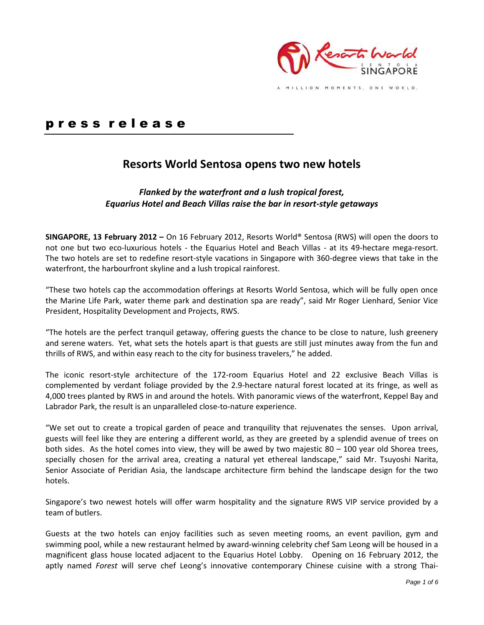

# p r e s s r e l e a s e

# **Resorts World Sentosa opens two new hotels**

# *Flanked by the waterfront and a lush tropical forest, Equarius Hotel and Beach Villas raise the bar in resort-style getaways*

**SINGAPORE, 13 February 2012 –** On 16 February 2012, Resorts World® Sentosa (RWS) will open the doors to not one but two eco-luxurious hotels - the Equarius Hotel and Beach Villas - at its 49-hectare mega-resort. The two hotels are set to redefine resort-style vacations in Singapore with 360-degree views that take in the waterfront, the harbourfront skyline and a lush tropical rainforest.

"These two hotels cap the accommodation offerings at Resorts World Sentosa, which will be fully open once the Marine Life Park, water theme park and destination spa are ready", said Mr Roger Lienhard, Senior Vice President, Hospitality Development and Projects, RWS.

"The hotels are the perfect tranquil getaway, offering guests the chance to be close to nature, lush greenery and serene waters. Yet, what sets the hotels apart is that guests are still just minutes away from the fun and thrills of RWS, and within easy reach to the city for business travelers," he added.

The iconic resort-style architecture of the 172-room Equarius Hotel and 22 exclusive Beach Villas is complemented by verdant foliage provided by the 2.9-hectare natural forest located at its fringe, as well as 4,000 trees planted by RWS in and around the hotels. With panoramic views of the waterfront, Keppel Bay and Labrador Park, the result is an unparalleled close-to-nature experience.

"We set out to create a tropical garden of peace and tranquility that rejuvenates the senses. Upon arrival, guests will feel like they are entering a different world, as they are greeted by a splendid avenue of trees on both sides. As the hotel comes into view, they will be awed by two majestic 80 – 100 year old Shorea trees, specially chosen for the arrival area, creating a natural yet ethereal landscape," said Mr. Tsuyoshi Narita, Senior Associate of Peridian Asia, the landscape architecture firm behind the landscape design for the two hotels.

Singapore's two newest hotels will offer warm hospitality and the signature RWS VIP service provided by a team of butlers.

Guests at the two hotels can enjoy facilities such as seven meeting rooms, an event pavilion, gym and swimming pool, while a new restaurant helmed by award-winning celebrity chef Sam Leong will be housed in a magnificent glass house located adjacent to the Equarius Hotel Lobby. Opening on 16 February 2012, the aptly named *Forest* will serve chef Leong's innovative contemporary Chinese cuisine with a strong Thai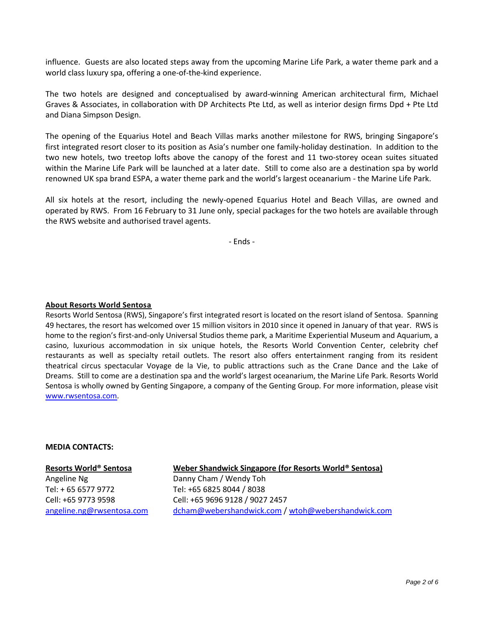influence. Guests are also located steps away from the upcoming Marine Life Park, a water theme park and a world class luxury spa, offering a one-of-the-kind experience.

The two hotels are designed and conceptualised by award-winning American architectural firm, Michael Graves & Associates, in collaboration with DP Architects Pte Ltd, as well as interior design firms Dpd + Pte Ltd and Diana Simpson Design.

The opening of the Equarius Hotel and Beach Villas marks another milestone for RWS, bringing Singapore's first integrated resort closer to its position as Asia's number one family-holiday destination. In addition to the two new hotels, two treetop lofts above the canopy of the forest and 11 two-storey ocean suites situated within the Marine Life Park will be launched at a later date. Still to come also are a destination spa by world renowned UK spa brand ESPA, a water theme park and the world's largest oceanarium - the Marine Life Park.

All six hotels at the resort, including the newly-opened Equarius Hotel and Beach Villas, are owned and operated by RWS. From 16 February to 31 June only, special packages for the two hotels are available through the RWS website and authorised travel agents.

- Ends -

#### **About Resorts World Sentosa**

Resorts World Sentosa (RWS), Singapore's first integrated resort is located on the resort island of Sentosa. Spanning 49 hectares, the resort has welcomed over 15 million visitors in 2010 since it opened in January of that year. RWS is home to the region's first-and-only Universal Studios theme park, a Maritime Experiential Museum and Aquarium, a casino, luxurious accommodation in six unique hotels, the Resorts World Convention Center, celebrity chef restaurants as well as specialty retail outlets. The resort also offers entertainment ranging from its resident theatrical circus spectacular Voyage de la Vie, to public attractions such as the Crane Dance and the Lake of Dreams. Still to come are a destination spa and the world's largest oceanarium, the Marine Life Park. Resorts World Sentosa is wholly owned by Genting Singapore, a company of the Genting Group. For more information, please visit [www.rwsentosa.com.](http://www.rwsentosa.com/)

#### **MEDIA CONTACTS:**

#### **Resorts World® Sentosa**

Angeline Ng Tel: + 65 6577 9772 Cell: +65 9773 9598 [angeline.ng@rwsentosa.com](mailto:Angeline.ng@rwsentosa.com)

# **Weber Shandwick Singapore (for Resorts World® Sentosa)**

Danny Cham / Wendy Toh Tel: +65 6825 8044 / 8038 Cell: +65 9696 9128 / 9027 2457 [dcham@webershandwick.com](mailto:dcham@webershandwick.com) [/ wtoh@webershandwick.com](mailto:wtoh@webershandwick.com)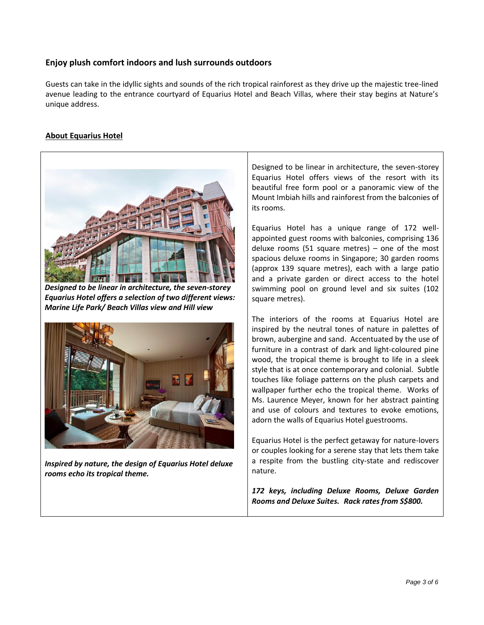# **Enjoy plush comfort indoors and lush surrounds outdoors**

Guests can take in the idyllic sights and sounds of the rich tropical rainforest as they drive up the majestic tree-lined avenue leading to the entrance courtyard of Equarius Hotel and Beach Villas, where their stay begins at Nature's unique address.

# **About Equarius Hotel**



*Designed to be linear in architecture, the seven-storey Equarius Hotel offers a selection of two different views: Marine Life Park/ Beach Villas view and Hill view*



*Inspired by nature, the design of Equarius Hotel deluxe rooms echo its tropical theme.* 

Designed to be linear in architecture, the seven-storey Equarius Hotel offers views of the resort with its beautiful free form pool or a panoramic view of the Mount Imbiah hills and rainforest from the balconies of its rooms.

Equarius Hotel has a unique range of 172 wellappointed guest rooms with balconies, comprising 136 deluxe rooms (51 square metres) – one of the most spacious deluxe rooms in Singapore; 30 garden rooms (approx 139 square metres), each with a large patio and a private garden or direct access to the hotel swimming pool on ground level and six suites (102 square metres).

The interiors of the rooms at Equarius Hotel are inspired by the neutral tones of nature in palettes of brown, aubergine and sand. Accentuated by the use of furniture in a contrast of dark and light-coloured pine wood, the tropical theme is brought to life in a sleek style that is at once contemporary and colonial. Subtle touches like foliage patterns on the plush carpets and wallpaper further echo the tropical theme. Works of Ms. Laurence Meyer, known for her abstract painting and use of colours and textures to evoke emotions, adorn the walls of Equarius Hotel guestrooms.

Equarius Hotel is the perfect getaway for nature-lovers or couples looking for a serene stay that lets them take a respite from the bustling city-state and rediscover nature.

*172 keys, including Deluxe Rooms, Deluxe Garden Rooms and Deluxe Suites. Rack rates from S\$800.*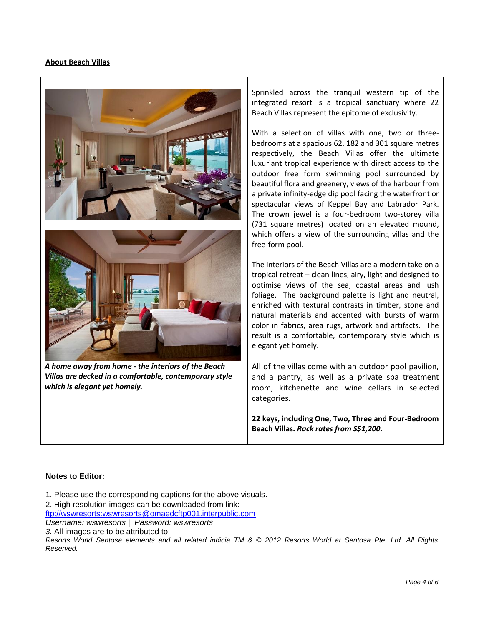## **About Beach Villas**





*A home away from home - the interiors of the Beach Villas are decked in a comfortable, contemporary style which is elegant yet homely.*

Sprinkled across the tranquil western tip of the integrated resort is a tropical sanctuary where 22 Beach Villas represent the epitome of exclusivity.

With a selection of villas with one, two or threebedrooms at a spacious 62, 182 and 301 square metres respectively, the Beach Villas offer the ultimate luxuriant tropical experience with direct access to the outdoor free form swimming pool surrounded by beautiful flora and greenery, views of the harbour from a private infinity-edge dip pool facing the waterfront or spectacular views of Keppel Bay and Labrador Park. The crown jewel is a four-bedroom two-storey villa (731 square metres) located on an elevated mound, which offers a view of the surrounding villas and the free-form pool.

The interiors of the Beach Villas are a modern take on a tropical retreat – clean lines, airy, light and designed to optimise views of the sea, coastal areas and lush foliage. The background palette is light and neutral, enriched with textural contrasts in timber, stone and natural materials and accented with bursts of warm color in fabrics, area rugs, artwork and artifacts. The result is a comfortable, contemporary style which is elegant yet homely.

All of the villas come with an outdoor pool pavilion, and a pantry, as well as a private spa treatment room, kitchenette and wine cellars in selected categories.

**22 keys, including One, Two, Three and Four-Bedroom Beach Villas.** *Rack rates from S\$1,200.*

### **Notes to Editor:**

1. Please use the corresponding captions for the above visuals.

2. High resolution images can be downloaded from link:

[ftp://wswresorts:wswresorts@omaedcftp001.interpublic.com](ftp://wswresorts:wswresorts@omaedcftp001.interpublic.com/)

*Username: wswresorts* | *Password: wswresorts* 

*3.* All images are to be attributed to:

*Resorts World Sentosa elements and all related indicia TM & © 2012 Resorts World at Sentosa Pte. Ltd. All Rights Reserved.*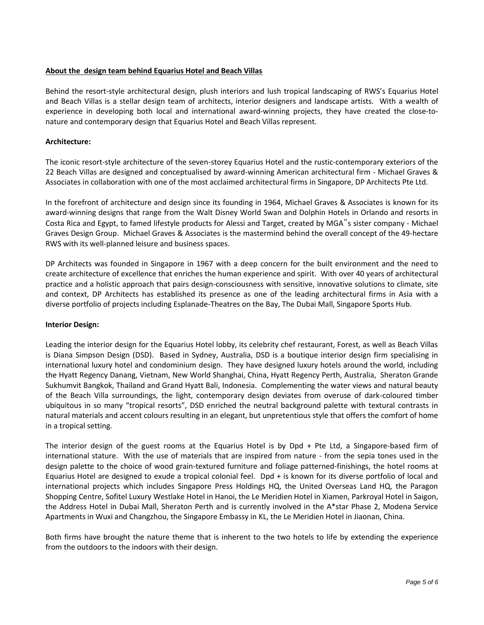# **About the design team behind Equarius Hotel and Beach Villas**

Behind the resort-style architectural design, plush interiors and lush tropical landscaping of RWS's Equarius Hotel and Beach Villas is a stellar design team of architects, interior designers and landscape artists. With a wealth of experience in developing both local and international award-winning projects, they have created the close-tonature and contemporary design that Equarius Hotel and Beach Villas represent.

# **Architecture:**

The iconic resort-style architecture of the seven-storey Equarius Hotel and the rustic-contemporary exteriors of the 22 Beach Villas are designed and conceptualised by award-winning American architectural firm - Michael Graves & Associates in collaboration with one of the most acclaimed architectural firms in Singapore, DP Architects Pte Ltd.

In the forefront of architecture and design since its founding in 1964, Michael Graves & Associates is known for its award-winning designs that range from the Walt Disney World Swan and Dolphin Hotels in Orlando and resorts in Costa Rica and Egypt, to famed lifestyle products for Alessi and Target, created by MGA"s sister company - Michael Graves Design Group. Michael Graves & Associates is the mastermind behind the overall concept of the 49-hectare RWS with its well-planned leisure and business spaces.

DP Architects was founded in Singapore in 1967 with a deep concern for the built environment and the need to create architecture of excellence that enriches the human experience and spirit. With over 40 years of architectural practice and a holistic approach that pairs design-consciousness with sensitive, innovative solutions to climate, site and context, DP Architects has established its presence as one of the leading architectural firms in Asia with a diverse portfolio of projects including Esplanade-Theatres on the Bay, The Dubai Mall, Singapore Sports Hub.

### **Interior Design:**

Leading the interior design for the Equarius Hotel lobby, its celebrity chef restaurant, Forest, as well as Beach Villas is Diana Simpson Design (DSD). Based in Sydney, Australia, DSD is a boutique interior design firm specialising in international luxury hotel and condominium design. They have designed luxury hotels around the world, including the Hyatt Regency Danang, Vietnam, New World Shanghai, China, Hyatt Regency Perth, Australia, Sheraton Grande Sukhumvit Bangkok, Thailand and Grand Hyatt Bali, Indonesia. Complementing the water views and natural beauty of the Beach Villa surroundings, the light, contemporary design deviates from overuse of dark-coloured timber ubiquitous in so many "tropical resorts", DSD enriched the neutral background palette with textural contrasts in natural materials and accent colours resulting in an elegant, but unpretentious style that offers the comfort of home in a tropical setting.

The interior design of the guest rooms at the Equarius Hotel is by Dpd + Pte Ltd, a Singapore-based firm of international stature. With the use of materials that are inspired from nature - from the sepia tones used in the design palette to the choice of wood grain-textured furniture and foliage patterned-finishings, the hotel rooms at Equarius Hotel are designed to exude a tropical colonial feel. Dpd + is known for its diverse portfolio of local and international projects which includes Singapore Press Holdings HQ, the United Overseas Land HQ, the Paragon Shopping Centre, Sofitel Luxury Westlake Hotel in Hanoi, the Le Meridien Hotel in Xiamen, Parkroyal Hotel in Saigon, the Address Hotel in Dubai Mall, Sheraton Perth and is currently involved in the A\*star Phase 2, Modena Service Apartments in Wuxi and Changzhou, the Singapore Embassy in KL, the Le Meridien Hotel in Jiaonan, China.

Both firms have brought the nature theme that is inherent to the two hotels to life by extending the experience from the outdoors to the indoors with their design.